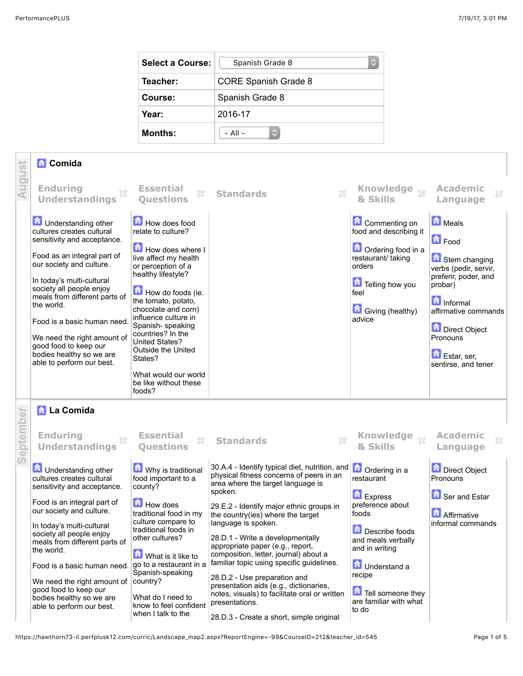| Select a Course: | Spanish Grade 8<br>٥ |
|------------------|----------------------|
| Teacher:         | CORE Spanish Grade 8 |
| Course:          | Spanish Grade 8      |
| Year:            | 2016-17              |
| <b>Months:</b>   | $-$ All $-$          |

## **Comida**

able to perform our best.

| August    | <b>R</b> Comida<br><b>Enduring</b><br>×<br><b>Understandings</b>                                                                                                                                                                                                                                                                                                                                            | <b>Essential</b><br>$\mathbb{X}$<br><b>Questions</b>                                                                                                                                                                                                                                                                                                                                         | $\boxtimes$<br><b>Standards</b>                                                                                                                                                                                                                                                                                                                                                                                                                                       | Knowledge xx<br>& Skills                                                                                                                                                        | <b>Academic</b><br>X<br>Language                                                                                                                                                                                    |
|-----------|-------------------------------------------------------------------------------------------------------------------------------------------------------------------------------------------------------------------------------------------------------------------------------------------------------------------------------------------------------------------------------------------------------------|----------------------------------------------------------------------------------------------------------------------------------------------------------------------------------------------------------------------------------------------------------------------------------------------------------------------------------------------------------------------------------------------|-----------------------------------------------------------------------------------------------------------------------------------------------------------------------------------------------------------------------------------------------------------------------------------------------------------------------------------------------------------------------------------------------------------------------------------------------------------------------|---------------------------------------------------------------------------------------------------------------------------------------------------------------------------------|---------------------------------------------------------------------------------------------------------------------------------------------------------------------------------------------------------------------|
|           | <b>D</b> Understanding other<br>cultures creates cultural<br>sensitivity and acceptance.<br>Food as an integral part of<br>our society and culture.<br>In today's multi-cultural<br>society all people enjoy<br>meals from different parts of<br>the world.<br>Food is a basic human need.<br>We need the right amount of<br>good food to keep our<br>bodies healthy so we are<br>able to perform our best. | How does food<br>relate to culture?<br>How does where I<br>live affect my health<br>or perception of a<br>healthy lifestyle?<br>How do foods (ie.<br>the tomato, potato,<br>chocolate and corn)<br>influence culture in<br>Spanish-speaking<br>countries? In the<br><b>United States?</b><br><b>Outside the United</b><br>States?<br>What would our world<br>be like without these<br>foods? |                                                                                                                                                                                                                                                                                                                                                                                                                                                                       | Commenting on<br>food and describing it<br><b>n</b> Ordering food in a<br>restaurant/ taking<br>orders<br>Telling how you<br>feel<br>Giving (healthy)<br>advice                 | Meals<br><b>D</b> Food<br>Stem changing<br>verbs (pedir, servir,<br>preferir, poder, and<br>probar)<br><b>n</b> Informal<br>affirmative commands<br>Direct Object<br>Pronouns<br>Estar, ser,<br>sentirse, and tener |
| September | <b>R</b> La Comida<br><b>Enduring</b><br><b>Understandings</b><br><b>D</b> Understanding other<br>cultures creates cultural<br>sensitivity and acceptance.<br>Food is an integral part of<br>our society and culture.<br>In today's multi-cultural<br>society all people enjoy<br>meals from different parts of<br>the world.<br>Food is a basic human need.                                                | <b>Essential</b><br>$\mathbb{X}$<br><b>Ouestions</b><br>Why is traditional<br>food important to a<br>county?<br><b>How does</b><br>traditional food in my<br>culture compare to<br>traditional foods in<br>other cultures?<br>What is it like to<br>go to a restaurant in a<br>Spanish-speaking                                                                                              | $\chi$<br><b>Standards</b><br>30.A.4 - Identify typical diet, nutrition, and <b>n</b> Ordering in a<br>physical fitness concerns of peers in an<br>area where the target language is<br>spoken.<br>29.E.2 - Identify major ethnic groups in<br>the country(ies) where the target<br>language is spoken.<br>28.D.1 - Write a developmentally<br>appropriate paper (e.g., report,<br>composition, letter, journal) about a<br>familiar topic using specific guidelines. | <b>Knowledge</b><br>$\chi$<br>& Skills<br>restaurant<br>Express<br>preference about<br>foods<br>Describe foods<br>and meals verbally<br>and in writing<br><b>n</b> Understand a | <b>Academic</b><br>X<br>Language<br><b>Direct Object</b><br>Pronouns<br>Ser and Estar<br><b>A</b> Affirmative<br>informal commands                                                                                  |
|           | We need the right amount of<br>good food to keep our<br>bodies healthy so we are<br>ahla ta namfarma aus haat                                                                                                                                                                                                                                                                                               | country?<br>What do I need to<br>know to fool confident                                                                                                                                                                                                                                                                                                                                      | 28.D.2 - Use preparation and<br>presentation aids (e.g., dictionaries,<br>notes, visuals) to facilitate oral or written<br>presentations.                                                                                                                                                                                                                                                                                                                             | recipe<br>Tell someone they<br>are familiar with what                                                                                                                           |                                                                                                                                                                                                                     |

28.D.3 - Create a short, simple original

to do

know to feel confident when I talk to the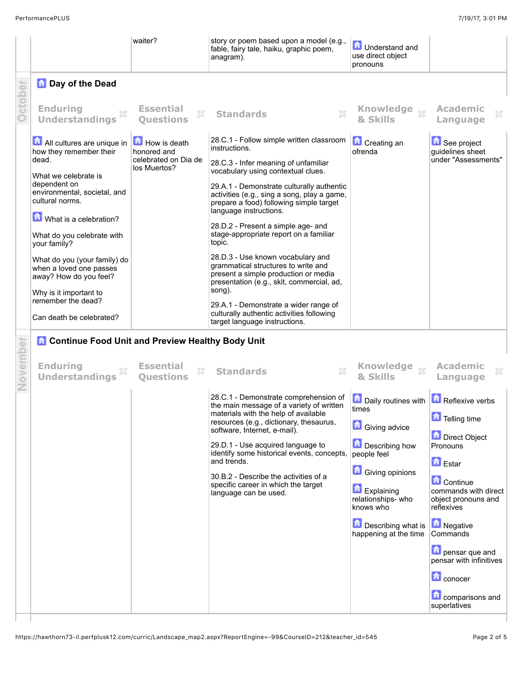|          |                                                                                   | waiter?                                              | story or poem based upon a model (e.g.,<br>fable, fairy tale, haiku, graphic poem,<br>anagram).                                                               | <b>D</b> Understand and<br>use direct object<br>pronouns                                                  |                                                           |
|----------|-----------------------------------------------------------------------------------|------------------------------------------------------|---------------------------------------------------------------------------------------------------------------------------------------------------------------|-----------------------------------------------------------------------------------------------------------|-----------------------------------------------------------|
|          | <b>Day of the Dead</b>                                                            |                                                      |                                                                                                                                                               |                                                                                                           |                                                           |
| October  | <b>Enduring</b><br><b>Understandings</b>                                          | <b>Essential</b><br>X<br><b>Ouestions</b>            | <b>Standards</b><br>X                                                                                                                                         | Knowledge xx<br>& Skills                                                                                  | <b>Academic</b><br>×<br>Language                          |
|          | All cultures are unique in<br>how they remember their                             | How is death<br>honored and                          | 28.C.1 - Follow simple written classroom<br>instructions.                                                                                                     | <b>Creating an</b><br>ofrenda                                                                             | See project<br>guidelines sheet                           |
|          | dead.<br>What we celebrate is                                                     | celebrated on Dia de<br>los Muertos?                 | 28.C.3 - Infer meaning of unfamiliar<br>vocabulary using contextual clues.                                                                                    |                                                                                                           | under "Assessments"                                       |
|          | dependent on<br>environmental, societal, and<br>cultural norms.                   |                                                      | 29.A.1 - Demonstrate culturally authentic<br>activities (e.g., sing a song, play a game,<br>prepare a food) following simple target<br>language instructions. |                                                                                                           |                                                           |
|          | What is a celebration?                                                            |                                                      | 28.D.2 - Present a simple age- and                                                                                                                            |                                                                                                           |                                                           |
|          | What do you celebrate with<br>your family?                                        |                                                      | stage-appropriate report on a familiar<br>topic.                                                                                                              |                                                                                                           |                                                           |
|          | What do you (your family) do<br>when a loved one passes<br>away? How do you feel? |                                                      | 28.D.3 - Use known vocabulary and<br>grammatical structures to write and<br>present a simple production or media<br>presentation (e.g., skit, commercial, ad, |                                                                                                           |                                                           |
|          | Why is it important to<br>remember the dead?                                      |                                                      | song).<br>29.A.1 - Demonstrate a wider range of                                                                                                               |                                                                                                           |                                                           |
|          | Can death be celebrated?                                                          |                                                      | culturally authentic activities following<br>target language instructions.                                                                                    |                                                                                                           |                                                           |
|          | <b>Continue Food Unit and Preview Healthy Body Unit</b>                           |                                                      |                                                                                                                                                               |                                                                                                           |                                                           |
| November | <b>Enduring</b><br><b>Understandings</b>                                          | <b>Essential</b><br>$\mathbb{X}$<br><b>Ouestions</b> | <b>Standards</b><br>X                                                                                                                                         | Knowledge xx<br>& Skills                                                                                  | <b>Academic</b><br>X<br>Language                          |
|          |                                                                                   |                                                      | 28.C.1 - Demonstrate comprehension of<br>the main message of a variety of written                                                                             | $\left  \frac{1}{\bullet} \right $ Daily routines with $\left  \frac{1}{\bullet} \right $ Reflexive verbs |                                                           |
|          |                                                                                   |                                                      | materials with the help of available<br>resources (e.g., dictionary, thesaurus,                                                                               | times<br><b>Giving advice</b>                                                                             | Telling time                                              |
|          |                                                                                   |                                                      | software, Internet, e-mail).<br>29.D.1 - Use acquired language to                                                                                             | Describing how                                                                                            | Direct Object<br>Pronouns                                 |
|          |                                                                                   |                                                      | identify some historical events, concepts,<br>and trends.                                                                                                     | people feel                                                                                               | <b>D</b> Estar                                            |
|          |                                                                                   |                                                      | 30.B.2 - Describe the activities of a<br>specific career in which the target                                                                                  | <b>C</b> Giving opinions                                                                                  | <b>Continue</b>                                           |
|          |                                                                                   |                                                      | language can be used.                                                                                                                                         | Explaining<br>relationships-who<br>knows who                                                              | commands with direct<br>object pronouns and<br>reflexives |
|          |                                                                                   |                                                      |                                                                                                                                                               | <b>Describing what is</b><br>happening at the time                                                        | Negative<br>Commands                                      |
|          |                                                                                   |                                                      |                                                                                                                                                               |                                                                                                           | <b>h</b> pensar que and<br>pensar with infinitives        |
|          |                                                                                   |                                                      |                                                                                                                                                               |                                                                                                           | <b>C</b> conocer                                          |
|          |                                                                                   |                                                      |                                                                                                                                                               |                                                                                                           | <b>Li</b> comparisons and<br>superlatives                 |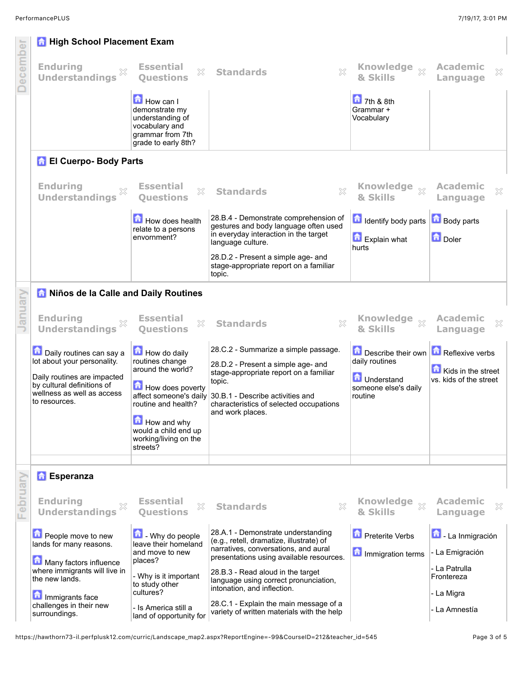|          | <b>High School Placement Exam</b>                                                                        |                                                                                                              |                                                                                                                                                                            |                                                        |                                              |
|----------|----------------------------------------------------------------------------------------------------------|--------------------------------------------------------------------------------------------------------------|----------------------------------------------------------------------------------------------------------------------------------------------------------------------------|--------------------------------------------------------|----------------------------------------------|
| December | <b>Enduring</b><br>X<br><b>Understandings</b>                                                            | <b>Essential</b><br>$\gtrsim$<br><b>Ouestions</b>                                                            | $\chi$<br><b>Standards</b>                                                                                                                                                 | Knowledge xx<br>& Skills                               | <b>Academic</b><br>×<br>Language             |
|          |                                                                                                          | How can I<br>demonstrate my<br>understanding of<br>vocabulary and<br>grammar from 7th<br>grade to early 8th? |                                                                                                                                                                            | $\overline{a}$ 7th & 8th<br>Grammar +<br>Vocabulary    |                                              |
|          | <b>F</b> El Cuerpo- Body Parts                                                                           |                                                                                                              |                                                                                                                                                                            |                                                        |                                              |
|          | <b>Enduring</b><br>X<br><b>Understandings</b>                                                            | <b>Essential</b><br>×<br><b>Ouestions</b>                                                                    | <b>Standards</b>                                                                                                                                                           | <b>Knowledge</b><br>$\chi$<br>& Skills                 | <b>Academic</b><br>X<br>Language             |
|          |                                                                                                          | How does health<br>relate to a persons<br>envornment?                                                        | 28.B.4 - Demonstrate comprehension of<br>gestures and body language often used<br>in everyday interaction in the target<br>language culture.                               | <b>d</b> Identify body parts<br>Explain what<br>hurts  | <b>Body parts</b><br><b>D</b> Doler          |
|          |                                                                                                          |                                                                                                              | 28.D.2 - Present a simple age- and<br>stage-appropriate report on a familiar<br>topic.                                                                                     |                                                        |                                              |
|          | A Niños de la Calle and Daily Routines                                                                   |                                                                                                              |                                                                                                                                                                            |                                                        |                                              |
| January  | <b>Enduring</b><br><b>Understandings</b>                                                                 | <b>Essential</b><br>X<br><b>Ouestions</b>                                                                    | $\chi$<br><b>Standards</b>                                                                                                                                                 | <b>Knowledge</b><br>$\chi$<br>& Skills                 | <b>Academic</b><br>×<br>Language             |
|          | Daily routines can say a<br>lot about your personality.                                                  | How do daily<br>routines change                                                                              | 28.C.2 - Summarize a simple passage.<br>28.D.2 - Present a simple age- and                                                                                                 | Describe their own<br>daily routines                   | Reflexive verbs                              |
|          | Daily routines are impacted<br>by cultural definitions of<br>wellness as well as access<br>to resources. | around the world?<br>How does poverty<br>routine and health?                                                 | stage-appropriate report on a familiar<br>topic.<br>affect someone's daily 30.B.1 - Describe activities and<br>characteristics of selected occupations<br>and work places. | <b>n</b> Understand<br>someone else's daily<br>routine | Kids in the street<br>vs. kids of the street |
|          |                                                                                                          | How and why<br>would a child end up<br>working/living on the<br>streets?                                     |                                                                                                                                                                            |                                                        |                                              |
|          | <b>Esperanza</b>                                                                                         |                                                                                                              |                                                                                                                                                                            |                                                        |                                              |
| February | <b>Enduring</b><br><b>Understandings</b>                                                                 | <b>Essential</b><br>$\gtrsim$<br><b>Ouestions</b>                                                            | <b>Standards</b><br>×                                                                                                                                                      | <b>Knowledge</b><br>$\chi$<br>& Skills                 | <b>Academic</b><br>×<br>Language             |
|          | People move to new<br>lands for many reasons.                                                            | $\Box$ - Why do people<br>leave their homeland<br>and move to new                                            | 28.A.1 - Demonstrate understanding<br>(e.g., retell, dramatize, illustrate) of<br>narratives, conversations, and aural                                                     | <b>Preterite Verbs</b>                                 | 囥<br>- La Inmigración<br>- La Emigración     |
|          | Many factors influence<br>where immigrants will live in<br>the new lands.                                | places?<br>- Why is it important                                                                             | presentations using available resources.<br>28.B.3 - Read aloud in the target                                                                                              | Immigration terms                                      | - La Patrulla<br>Frontereza                  |
|          | Immigrants face                                                                                          | to study other<br>cultures?                                                                                  | language using correct pronunciation,<br>intonation, and inflection.<br>28.C.1 - Explain the main message of a                                                             |                                                        | - La Migra                                   |
|          | challenges in their new<br>surroundings.                                                                 | - Is America still a<br>land of opportunity for                                                              | variety of written materials with the help                                                                                                                                 |                                                        | - La Amnestía                                |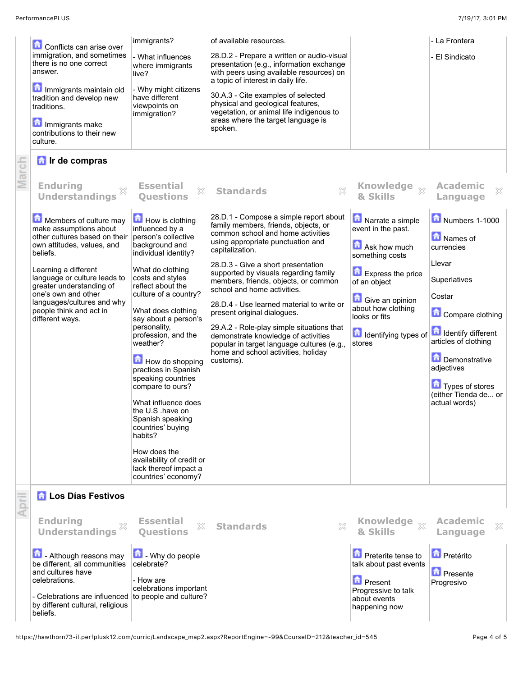|       | Conflicts can arise over<br>immigration, and sometimes<br>there is no one correct<br>answer.<br>Immigrants maintain old<br>tradition and develop new<br>traditions.<br>Immigrants make<br>contributions to their new<br>culture.<br><b>The Ir de compras</b>                                                                           | immigrants?<br>- What influences<br>where immigrants<br>live?<br>- Why might citizens<br>have different<br>viewpoints on<br>immigration?                                                                                                                                                                                                                                                                                                                                                                                                             | of available resources.<br>28.D.2 - Prepare a written or audio-visual<br>presentation (e.g., information exchange<br>with peers using available resources) on<br>a topic of interest in daily life.<br>30.A.3 - Cite examples of selected<br>physical and geological features,<br>vegetation, or animal life indigenous to<br>areas where the target language is<br>spoken.                                                                                                                                                                                                                         |                                                                                                                                                                                                                                     | - La Frontera<br>- El Sindicato                                                                                                                                                                                                                  |
|-------|----------------------------------------------------------------------------------------------------------------------------------------------------------------------------------------------------------------------------------------------------------------------------------------------------------------------------------------|------------------------------------------------------------------------------------------------------------------------------------------------------------------------------------------------------------------------------------------------------------------------------------------------------------------------------------------------------------------------------------------------------------------------------------------------------------------------------------------------------------------------------------------------------|-----------------------------------------------------------------------------------------------------------------------------------------------------------------------------------------------------------------------------------------------------------------------------------------------------------------------------------------------------------------------------------------------------------------------------------------------------------------------------------------------------------------------------------------------------------------------------------------------------|-------------------------------------------------------------------------------------------------------------------------------------------------------------------------------------------------------------------------------------|--------------------------------------------------------------------------------------------------------------------------------------------------------------------------------------------------------------------------------------------------|
| March | <b>Enduring</b><br><b>Understandings</b>                                                                                                                                                                                                                                                                                               | <b>Essential</b><br>X<br><b>Ouestions</b>                                                                                                                                                                                                                                                                                                                                                                                                                                                                                                            | $\chi$<br><b>Standards</b>                                                                                                                                                                                                                                                                                                                                                                                                                                                                                                                                                                          | <b>Knowledge</b><br>$\bar{\chi}$<br>& Skills                                                                                                                                                                                        | <b>Academic</b><br>X<br>Language                                                                                                                                                                                                                 |
|       | Members of culture may<br>make assumptions about<br>other cultures based on their person's collective<br>own attitudes, values, and<br>beliefs.<br>Learning a different<br>language or culture leads to<br>greater understanding of<br>one's own and other<br>languages/cultures and why<br>people think and act in<br>different ways. | How is clothing<br>influenced by a<br>background and<br>individual identity?<br>What do clothing<br>costs and styles<br>reflect about the<br>culture of a country?<br>What does clothing<br>say about a person's<br>personality,<br>profession, and the<br>weather?<br>How do shopping<br>practices in Spanish<br>speaking countries<br>compare to ours?<br>What influence does<br>the U.S .have on<br>Spanish speaking<br>countries' buying<br>habits?<br>How does the<br>availability of credit or<br>lack thereof impact a<br>countries' economy? | 28.D.1 - Compose a simple report about<br>family members, friends, objects, or<br>common school and home activities<br>using appropriate punctuation and<br>capitalization.<br>28.D.3 - Give a short presentation<br>supported by visuals regarding family<br>members, friends, objects, or common<br>school and home activities.<br>28.D.4 - Use learned material to write or<br>present original dialogues.<br>29.A.2 - Role-play simple situations that<br>demonstrate knowledge of activities<br>popular in target language cultures (e.g.,<br>home and school activities, holiday<br>customs). | Narrate a simple<br>event in the past.<br>Ask how much<br>something costs<br><b>Express the price</b><br>of an object<br><b>C</b> Give an opinion<br>about how clothing<br>looks or fits<br><b>d</b> Identifying types of<br>stores | Numbers 1-1000<br>Names of<br>currencies<br>Llevar<br>Superlatives<br>Costar<br>Compare clothing<br>Identify different<br>articles of clothing<br>Demonstrative<br>adjectives<br><b>Types of stores</b><br>(either Tienda de or<br>actual words) |
|       | <b>R</b> Los Días Festivos                                                                                                                                                                                                                                                                                                             |                                                                                                                                                                                                                                                                                                                                                                                                                                                                                                                                                      |                                                                                                                                                                                                                                                                                                                                                                                                                                                                                                                                                                                                     |                                                                                                                                                                                                                                     |                                                                                                                                                                                                                                                  |
|       | <b>Enduring</b><br>X<br><b>Understandings</b>                                                                                                                                                                                                                                                                                          | <b>Essential</b><br>X<br><b>Ouestions</b>                                                                                                                                                                                                                                                                                                                                                                                                                                                                                                            | X<br><b>Standards</b>                                                                                                                                                                                                                                                                                                                                                                                                                                                                                                                                                                               | & Skills                                                                                                                                                                                                                            | <b>Academic</b><br>×<br>Language                                                                                                                                                                                                                 |
|       | <b>Although reasons may</b><br>be different, all communities<br>and cultures have<br>celebrations.<br>- Celebrations are influenced to people and culture?<br>by different cultural, religious<br>beliefs.                                                                                                                             | $\Box$ - Why do people<br>celebrate?<br>- How are<br>celebrations important                                                                                                                                                                                                                                                                                                                                                                                                                                                                          |                                                                                                                                                                                                                                                                                                                                                                                                                                                                                                                                                                                                     | <b>D</b> Preterite tense to<br>talk about past events<br><b>D</b> Present<br>Progressive to talk<br>about events<br>happening now                                                                                                   | Pretérito<br><b>D</b> Presente<br>Progresivo                                                                                                                                                                                                     |